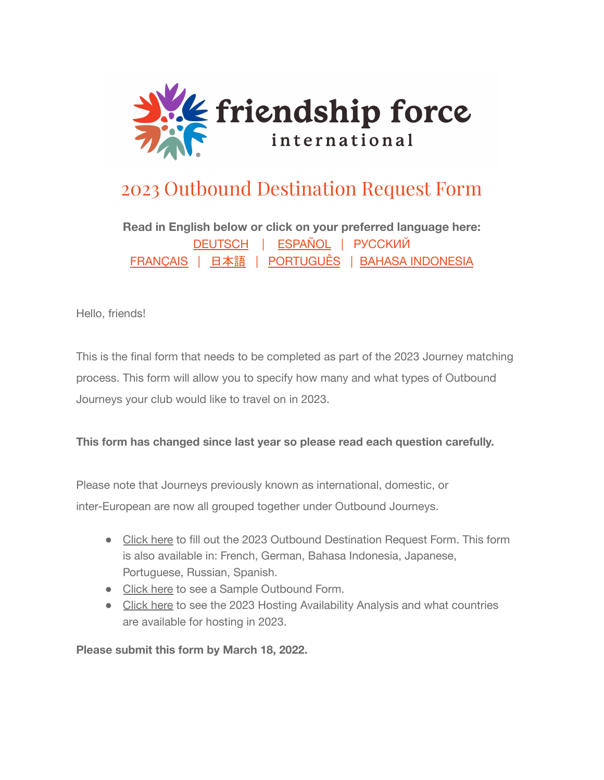

## 2023 Outbound Destination Request Form

**Read in English below or click on your preferred language here:** [DEUTSCH](https://drive.google.com/file/d/1tDbmQnjE1HKzsLs-ELd2KNVGN2BhZFmY/view?usp=sharing) | [ESPAÑOL](https://drive.google.com/file/d/1MlvVrfKVow2Z1nyYmL31hvWOOq7BMR3i/view?usp=sharing) | [РУССКИЙ](https://drive.google.com/file/d/1ofbaq79UjJyrcQoRia_GGDWAxMV4uH1F/view?usp=sharing) [FRANÇAIS](https://drive.google.com/file/d/1tCcBSMu9ahPsMU_CDOCyGxSPcSw0vcNe/view?usp=sharing) | [日本語](https://drive.google.com/file/d/1sUYyjMiZV0Ws1ILoqAvkApcvk5GqDzNE/view?usp=sharing) | [PORTUGUÊS](https://drive.google.com/file/d/1W4leWQcw__C2WAh-gZGhm29i2sOpzMb9/view?usp=sharing) | [BAHASA INDONESIA](https://drive.google.com/file/d/1PzFBvgJ8qft3e9sHNcGrUHD7v_BEpQgd/view?usp=sharing)

Hello, friends!

This is the final form that needs to be completed as part of the 2023 Journey matching process. This form will allow you to specify how many and what types of Outbound Journeys your club would like to travel on in 2023.

## **This form has changed since last year so please read each question carefully.**

Please note that Journeys previously known as international, domestic, or inter-European are now all grouped together under Outbound Journeys.

- [Click](https://friendshipforce.us12.list-manage.com/track/click?u=ba1bffc1cec3dcb20c97569d1&id=391e829c1b&e=5d0ebab4ef) here to fill out the 2023 Outbound Destination Request Form. This form is also available in: French, German, Bahasa Indonesia, Japanese, Portuguese, Russian, Spanish.
- [Click](https://friendshipforce.us12.list-manage.com/track/click?u=ba1bffc1cec3dcb20c97569d1&id=86205b27e3&e=5d0ebab4ef) here to see a Sample Outbound Form.
- [Click](https://friendshipforce.us12.list-manage.com/track/click?u=ba1bffc1cec3dcb20c97569d1&id=f2f9aaec91&e=5d0ebab4ef) here to see the 2023 Hosting Availability Analysis and what countries are available for hosting in 2023.

**Please submit this form by March 18, 2022.**